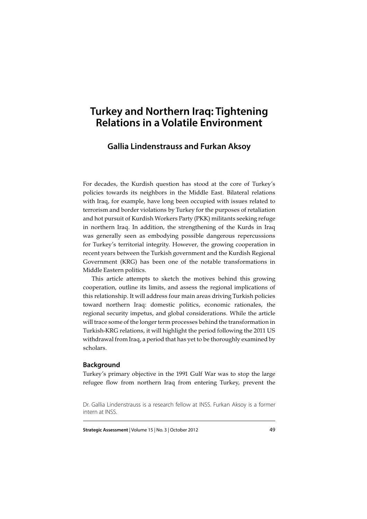# **Turkey and Northern Iraq: Tightening Relations in a Volatile Environment**

# **Gallia Lindenstrauss and Furkan Aksoy**

For decades, the Kurdish question has stood at the core of Turkey's policies towards its neighbors in the Middle East. Bilateral relations with Iraq, for example, have long been occupied with issues related to terrorism and border violations by Turkey for the purposes of retaliation and hot pursuit of Kurdish Workers Party (PKK) militants seeking refuge in northern Iraq. In addition, the strengthening of the Kurds in Iraq was generally seen as embodying possible dangerous repercussions for Turkey's territorial integrity. However, the growing cooperation in recent years between the Turkish government and the Kurdish Regional Government (KRG) has been one of the notable transformations in Middle Eastern politics.

This article attempts to sketch the motives behind this growing cooperation, outline its limits, and assess the regional implications of this relationship. It will address four main areas driving Turkish policies toward northern Iraq: domestic politics, economic rationales, the regional security impetus, and global considerations. While the article will trace some of the longer term processes behind the transformation in Turkish-KRG relations, it will highlight the period following the 2011 US withdrawal from Iraq, a period that has yet to be thoroughly examined by scholars.

# **Background**

Turkey's primary objective in the 1991 Gulf War was to stop the large refugee flow from northern Iraq from entering Turkey, prevent the

**Strategic Assessment** | Volume 15 | No. 3 | October 2012 49

Dr. Gallia Lindenstrauss is a research fellow at INSS. Furkan Aksoy is a former intern at INSS.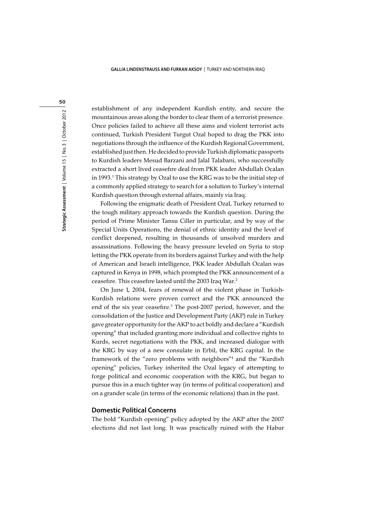establishment of any independent Kurdish entity, and secure the mountainous areas along the border to clear them of a terrorist presence. Once policies failed to achieve all these aims and violent terrorist acts continued, Turkish President Turgut Ozal hoped to drag the PKK into negotiations through the influence of the Kurdish Regional Government, established just then. He decided to provide Turkish diplomatic passports to Kurdish leaders Mesud Barzani and Jalal Talabani, who successfully extracted a short lived ceasefire deal from PKK leader Abdullah Ocalan in 1993.<sup>1</sup> This strategy by Ozal to use the KRG was to be the initial step of a commonly applied strategy to search for a solution to Turkey's internal Kurdish question through external affairs, mainly via Iraq.

Following the enigmatic death of President Ozal, Turkey returned to the tough military approach towards the Kurdish question. During the period of Prime Minister Tansu Ciller in particular, and by way of the Special Units Operations, the denial of ethnic identity and the level of conflict deepened, resulting in thousands of unsolved murders and assassinations. Following the heavy pressure leveled on Syria to stop letting the PKK operate from its borders against Turkey and with the help of American and Israeli intelligence, PKK leader Abdullah Ocalan was captured in Kenya in 1998, which prompted the PKK announcement of a ceasefire. This ceasefire lasted until the 2003 Iraq War.2

On June 1, 2004, fears of renewal of the violent phase in Turkish-Kurdish relations were proven correct and the PKK announced the end of the six year ceasefire.<sup>3</sup> The post-2007 period, however, and the consolidation of the Justice and Development Party (AKP) rule in Turkey gave greater opportunity for the AKP to act boldly and declare a "Kurdish opening" that included granting more individual and collective rights to Kurds, secret negotiations with the PKK, and increased dialogue with the KRG by way of a new consulate in Erbil, the KRG capital. In the framework of the "zero problems with neighbors"4 and the "Kurdish opening" policies, Turkey inherited the Ozal legacy of attempting to forge political and economic cooperation with the KRG, but began to pursue this in a much tighter way (in terms of political cooperation) and on a grander scale (in terms of the economic relations) than in the past.

#### **Domestic Political Concerns**

The bold "Kurdish opening" policy adopted by the AKP after the 2007 elections did not last long. It was practically ruined with the Habur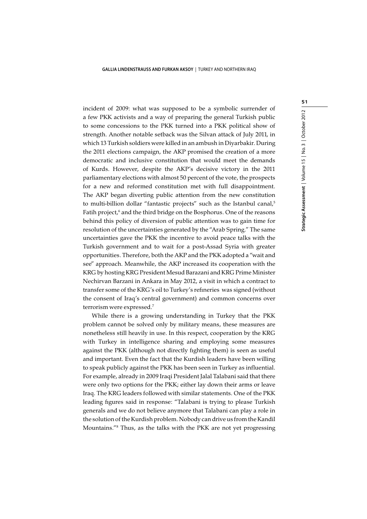incident of 2009: what was supposed to be a symbolic surrender of a few PKK activists and a way of preparing the general Turkish public to some concessions to the PKK turned into a PKK political show of strength. Another notable setback was the Silvan attack of July 2011, in which 13 Turkish soldiers were killed in an ambush in Diyarbakir. During the 2011 elections campaign, the AKP promised the creation of a more democratic and inclusive constitution that would meet the demands of Kurds. However, despite the AKP's decisive victory in the 2011 parliamentary elections with almost 50 percent of the vote, the prospects for a new and reformed constitution met with full disappointment. The AKP began diverting public attention from the new constitution to multi-billion dollar "fantastic projects" such as the Istanbul canal,<sup>5</sup> Fatih project,<sup>6</sup> and the third bridge on the Bosphorus. One of the reasons behind this policy of diversion of public attention was to gain time for resolution of the uncertainties generated by the "Arab Spring." The same uncertainties gave the PKK the incentive to avoid peace talks with the Turkish government and to wait for a post-Assad Syria with greater opportunities. Therefore, both the AKP and the PKK adopted a "wait and see" approach. Meanwhile, the AKP increased its cooperation with the KRG by hosting KRG President Mesud Barazani and KRG Prime Minister Nechirvan Barzani in Ankara in May 2012, a visit in which a contract to transfer some of the KRG's oil to Turkey's refineries was signed (without the consent of Iraq's central government) and common concerns over terrorism were expressed.7

While there is a growing understanding in Turkey that the PKK problem cannot be solved only by military means, these measures are nonetheless still heavily in use. In this respect, cooperation by the KRG with Turkey in intelligence sharing and employing some measures against the PKK (although not directly fighting them) is seen as useful and important. Even the fact that the Kurdish leaders have been willing to speak publicly against the PKK has been seen in Turkey as influential. For example, already in 2009 Iraqi President Jalal Talabani said that there were only two options for the PKK; either lay down their arms or leave Iraq. The KRG leaders followed with similar statements. One of the PKK leading figures said in response: "Talabani is trying to please Turkish generals and we do not believe anymore that Talabani can play a role in the solution of the Kurdish problem. Nobody can drive us from the Kandil Mountains."8 Thus, as the talks with the PKK are not yet progressing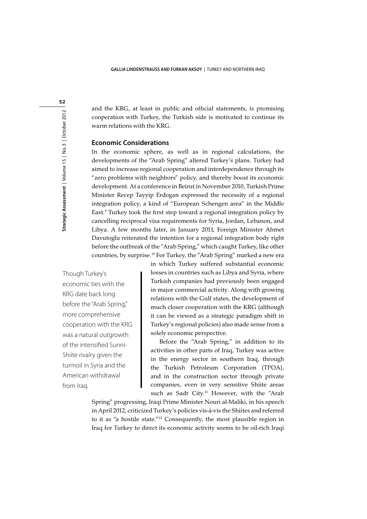and the KRG, at least in public and official statements, is promising cooperation with Turkey, the Turkish side is motivated to continue its warm relations with the KRG.

### **Economic Considerations**

In the economic sphere, as well as in regional calculations, the developments of the "Arab Spring" altered Turkey's plans. Turkey had aimed to increase regional cooperation and interdependence through its "zero problems with neighbors" policy, and thereby boost its economic development. At a conference in Beirut in November 2010, Turkish Prime Minister Recep Tayyip Erdogan expressed the necessity of a regional integration policy, a kind of "European Schengen area" in the Middle East.9 Turkey took the first step toward a regional integration policy by cancelling reciprocal visa requirements for Syria, Jordan, Lebanon, and Libya. A few months later, in January 2011, Foreign Minister Ahmet Davutoglu reiterated the intention for a regional integration body right before the outbreak of the "Arab Spring," which caught Turkey, like other countries, by surprise.10 For Turkey, the "Arab Spring" marked a new era

Though Turkey's economic ties with the KRG date back long before the "Arab Spring," more comprehensive cooperation with the KRG was a natural outgrowth of the intensified Sunni-Shiite rivalry given the turmoil in Syria and the American withdrawal from Iraq.

in which Turkey suffered substantial economic losses in countries such as Libya and Syria, where Turkish companies had previously been engaged in major commercial activity. Along with growing relations with the Gulf states, the development of much closer cooperation with the KRG (although it can be viewed as a strategic paradigm shift in Turkey's regional policies) also made sense from a solely economic perspective.

Before the "Arab Spring," in addition to its activities in other parts of Iraq, Turkey was active in the energy sector in southern Iraq, through the Turkish Petroleum Corporation (TPOA), and in the construction sector through private companies, even in very sensitive Shiite areas such as Sadr City.<sup>11</sup> However, with the "Arab

Spring" progressing, Iraqi Prime Minister Nouri al-Maliki, in his speech in April 2012, criticized Turkey's policies vis-à-vis the Shiites and referred to it as "a hostile state."12 Consequently, the most plausible region in Iraq for Turkey to direct its economic activity seems to be oil-rich Iraqi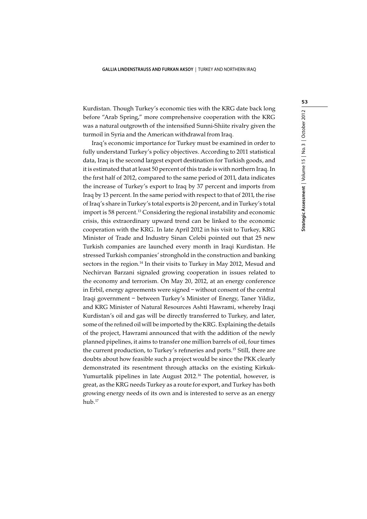Kurdistan. Though Turkey's economic ties with the KRG date back long before "Arab Spring," more comprehensive cooperation with the KRG was a natural outgrowth of the intensified Sunni-Shiite rivalry given the turmoil in Syria and the American withdrawal from Iraq.

Iraq's economic importance for Turkey must be examined in order to fully understand Turkey's policy objectives. According to 2011 statistical data, Iraq is the second largest export destination for Turkish goods, and it is estimated that at least 50 percent of this trade is with northern Iraq. In the first half of 2012, compared to the same period of 2011, data indicates the increase of Turkey's export to Iraq by 37 percent and imports from Iraq by 13 percent. In the same period with respect to that of 2011, the rise of Iraq's share in Turkey's total exports is 20 percent, and in Turkey's total import is 58 percent.<sup>13</sup> Considering the regional instability and economic crisis, this extraordinary upward trend can be linked to the economic cooperation with the KRG. In late April 2012 in his visit to Turkey, KRG Minister of Trade and Industry Sinan Celebi pointed out that 25 new Turkish companies are launched every month in Iraqi Kurdistan. He stressed Turkish companies' stronghold in the construction and banking sectors in the region.<sup>14</sup> In their visits to Turkey in May 2012, Mesud and Nechirvan Barzani signaled growing cooperation in issues related to the economy and terrorism. On May 20, 2012, at an energy conference in Erbil, energy agreements were signed – without consent of the central Iraqi government – between Turkey's Minister of Energy, Taner Yildiz, and KRG Minister of Natural Resources Ashti Hawrami, whereby Iraqi Kurdistan's oil and gas will be directly transferred to Turkey, and later, some of the refined oil will be imported by the KRG. Explaining the details of the project, Hawrami announced that with the addition of the newly planned pipelines, it aims to transfer one million barrels of oil, four times the current production, to Turkey's refineries and ports.15 Still, there are doubts about how feasible such a project would be since the PKK clearly demonstrated its resentment through attacks on the existing Kirkuk-Yumurtalik pipelines in late August 2012.<sup>16</sup> The potential, however, is great, as the KRG needs Turkey as a route for export, and Turkey has both growing energy needs of its own and is interested to serve as an energy hub.17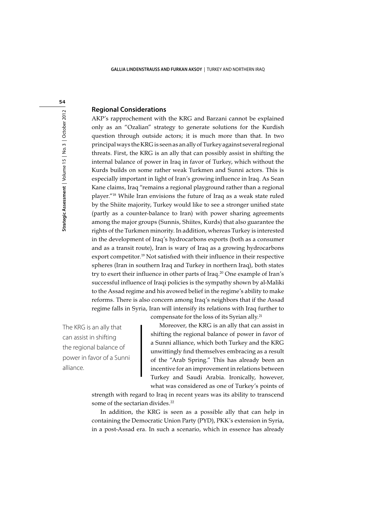#### **Regional Considerations**

AKP's rapprochement with the KRG and Barzani cannot be explained only as an "Ozalian" strategy to generate solutions for the Kurdish question through outside actors; it is much more than that. In two principal ways the KRG is seen as an ally of Turkey against several regional threats. First, the KRG is an ally that can possibly assist in shifting the internal balance of power in Iraq in favor of Turkey, which without the Kurds builds on some rather weak Turkmen and Sunni actors. This is especially important in light of Iran's growing influence in Iraq. As Sean Kane claims, Iraq "remains a regional playground rather than a regional player."18 While Iran envisions the future of Iraq as a weak state ruled by the Shiite majority, Turkey would like to see a stronger unified state (partly as a counter-balance to Iran) with power sharing agreements among the major groups (Sunnis, Shiites, Kurds) that also guarantee the rights of the Turkmen minority. In addition, whereas Turkey is interested in the development of Iraq's hydrocarbons exports (both as a consumer and as a transit route), Iran is wary of Iraq as a growing hydrocarbons export competitor.<sup>19</sup> Not satisfied with their influence in their respective spheres (Iran in southern Iraq and Turkey in northern Iraq), both states try to exert their influence in other parts of Iraq.<sup>20</sup> One example of Iran's successful influence of Iraqi policies is the sympathy shown by al-Maliki to the Assad regime and his avowed belief in the regime's ability to make reforms. There is also concern among Iraq's neighbors that if the Assad regime falls in Syria, Iran will intensify its relations with Iraq further to compensate for the loss of its Syrian ally.21

The KRG is an ally that can assist in shifting the regional balance of power in favor of a Sunni alliance.

Moreover, the KRG is an ally that can assist in shifting the regional balance of power in favor of a Sunni alliance, which both Turkey and the KRG unwittingly find themselves embracing as a result of the "Arab Spring." This has already been an

incentive for an improvement in relations between Turkey and Saudi Arabia. Ironically, however, what was considered as one of Turkey's points of

strength with regard to Iraq in recent years was its ability to transcend some of the sectarian divides.<sup>22</sup>

In addition, the KRG is seen as a possible ally that can help in containing the Democratic Union Party (PYD), PKK's extension in Syria, in a post-Assad era. In such a scenario, which in essence has already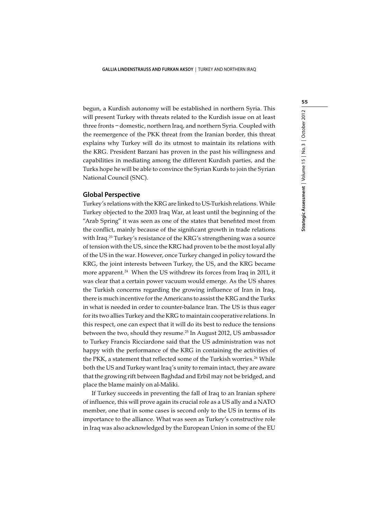begun, a Kurdish autonomy will be established in northern Syria. This will present Turkey with threats related to the Kurdish issue on at least three fronts – domestic, northern Iraq, and northern Syria. Coupled with the reemergence of the PKK threat from the Iranian border, this threat explains why Turkey will do its utmost to maintain its relations with the KRG. President Barzani has proven in the past his willingness and capabilities in mediating among the different Kurdish parties, and the Turks hope he will be able to convince the Syrian Kurds to join the Syrian National Council (SNC).

### **Global Perspective**

Turkey's relations with the KRG are linked to US-Turkish relations. While Turkey objected to the 2003 Iraq War, at least until the beginning of the "Arab Spring" it was seen as one of the states that benefited most from the conflict, mainly because of the significant growth in trade relations with Iraq.<sup>23</sup> Turkey's resistance of the KRG's strengthening was a source of tension with the US, since the KRG had proven to be the most loyal ally of the US in the war. However, once Turkey changed in policy toward the KRG, the joint interests between Turkey, the US, and the KRG became more apparent.<sup>24</sup> When the US withdrew its forces from Iraq in 2011, it was clear that a certain power vacuum would emerge. As the US shares the Turkish concerns regarding the growing influence of Iran in Iraq, there is much incentive for the Americans to assist the KRG and the Turks in what is needed in order to counter-balance Iran. The US is thus eager for its two allies Turkey and the KRG to maintain cooperative relations. In this respect, one can expect that it will do its best to reduce the tensions between the two, should they resume.<sup>25</sup> In August 2012, US ambassador to Turkey Francis Ricciardone said that the US administration was not happy with the performance of the KRG in containing the activities of the PKK, a statement that reflected some of the Turkish worries.<sup>26</sup> While both the US and Turkey want Iraq's unity to remain intact, they are aware that the growing rift between Baghdad and Erbil may not be bridged, and place the blame mainly on al-Maliki.

If Turkey succeeds in preventing the fall of Iraq to an Iranian sphere of influence, this will prove again its crucial role as a US ally and a NATO member, one that in some cases is second only to the US in terms of its importance to the alliance. What was seen as Turkey's constructive role in Iraq was also acknowledged by the European Union in some of the EU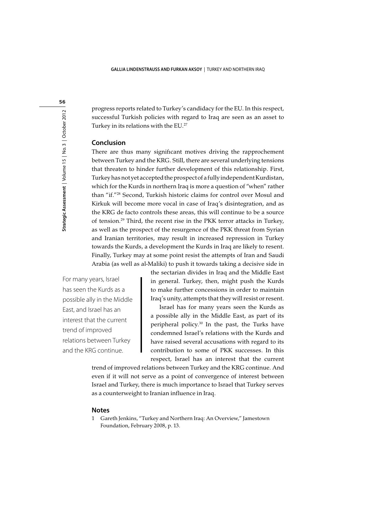progress reports related to Turkey's candidacy for the EU. In this respect, successful Turkish policies with regard to Iraq are seen as an asset to Turkey in its relations with the EU.<sup>27</sup>

## **Conclusion**

There are thus many significant motives driving the rapprochement between Turkey and the KRG. Still, there are several underlying tensions that threaten to hinder further development of this relationship. First, Turkey has not yet accepted the prospect of a fully independent Kurdistan, which for the Kurds in northern Iraq is more a question of "when" rather than "if."28 Second, Turkish historic claims for control over Mosul and Kirkuk will become more vocal in case of Iraq's disintegration, and as the KRG de facto controls these areas, this will continue to be a source of tension.29 Third, the recent rise in the PKK terror attacks in Turkey, as well as the prospect of the resurgence of the PKK threat from Syrian and Iranian territories, may result in increased repression in Turkey towards the Kurds, a development the Kurds in Iraq are likely to resent. Finally, Turkey may at some point resist the attempts of Iran and Saudi Arabia (as well as al-Maliki) to push it towards taking a decisive side in

For many years, Israel has seen the Kurds as a possible ally in the Middle East, and Israel has an interest that the current trend of improved relations between Turkey and the KRG continue.

the sectarian divides in Iraq and the Middle East in general. Turkey, then, might push the Kurds to make further concessions in order to maintain Iraq's unity, attempts that they will resist or resent.

Israel has for many years seen the Kurds as a possible ally in the Middle East, as part of its peripheral policy.30 In the past, the Turks have condemned Israel's relations with the Kurds and have raised several accusations with regard to its contribution to some of PKK successes. In this respect, Israel has an interest that the current

trend of improved relations between Turkey and the KRG continue. And even if it will not serve as a point of convergence of interest between Israel and Turkey, there is much importance to Israel that Turkey serves as a counterweight to Iranian influence in Iraq.

#### **Notes**

1 Gareth Jenkins, "Turkey and Northern Iraq: An Overview," Jamestown Foundation, February 2008, p. 13.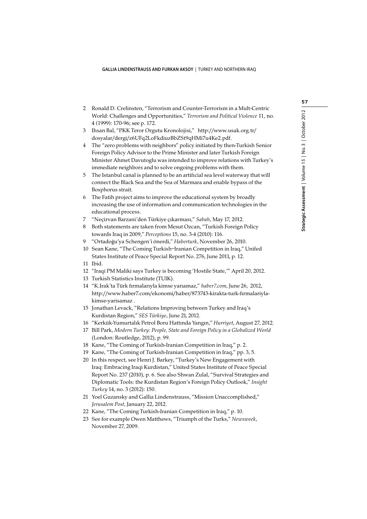- 2 Ronald D. Crelinsten, "Terrorism and Counter-Terrorism in a Mult-Centric World: Challenges and Opportunities," *Terrorism and Political Violence* 11, no. 4 (1999): 170-96; see p. 172.
- 3 Ihsan Bal, "PKK Teror Orgutu Kronolojisi," http://www.usak.org.tr/ dosyalar/dergi/z6UFq2LoFkdiuzBbZSt9qHMi7u4Ke2.pdf.
- 4 The "zero problems with neighbors" policy initiated by then-Turkish Senior Foreign Policy Advisor to the Prime Minister and later Turkish Foreign Minister Ahmet Davutoglu was intended to improve relations with Turkey's immediate neighbors and to solve ongoing problems with them.
- 5 The Istanbul canal is planned to be an artificial sea level waterway that will connect the Black Sea and the Sea of Marmara and enable bypass of the Bosphorus strait.
- 6 The Fatih project aims to improve the educational system by broadly increasing the use of information and communication technologies in the educational process.
- 7 "Neçirvan Barzani'den Türkiye çıkarması," *Sabah*, May 17, 2012.
- 8 Both statements are taken from Mesut Ozcan, "Turkish Foreign Policy towards Iraq in 2009," *Perceptions* 15, no. 3-4 (2010): 116.
- 9 "Ortadoğu'ya Schengen'i önerdi," *Haberturk*, November 26, 2010.
- 10 Sean Kane, "The Coming Turkish–Iranian Competition in Iraq," Unifed States Institute of Peace Special Report No. 276, June 2011, p. 12.
- 11 Ibid.
- 12 "Iraqi PM Maliki says Turkey is becoming 'Hostile State,'" April 20, 2012.
- 13 Turkish Statistics Institute (TUIK).
- 14 "K.Irak'ta Türk firmalarıyla kimse yarıamaz," *haber7.com*, June 26, 2012, http://www.haber7.com/ekonomi/haber/873743-kirakta-turk-firmalariylakimse-yarisamaz .
- 15 Jonathan Levack, "Relations Improving between Turkey and Iraq's Kurdistan Region," *SES Türkiye*, June 21, 2012.
- 16 "Kerkük-Yumurtalık Petrol Boru Hattında Yangın," *Hurriyet*, August 27, 2012.
- 17 Bill Park, *Modern Turkey: People, State and Foreign Policy in a Globalized World* (London: Routledge, 2012), p. 99.
- 18 Kane, "The Coming of Turkish-Iranian Competition in Iraq," p. 2.
- 19 Kane, "The Coming of Turkish-Iranian Competition in Iraq," pp. 3, 5.
- 20 In this respect, see Henri J. Barkey, "Turkey's New Engagement with Iraq: Embracing Iraqi Kurdistan," United States Institute of Peace Special Report No. 237 (2010), p. 6. See also Shwan Zulal, "Survival Strategies and Diplomatic Tools: the Kurdistan Region's Foreign Policy Outlook," *Insight Turkey* 14, no. 3 (2012): 150.
- 21 Yoel Guzansky and Gallia Lindenstrauss, "Mission Unaccomplished," *Jerusalem Post*, January 22, 2012.
- 22 Kane, "The Coming Turkish-Iranian Competition in Iraq," p. 10.
- 23 See for example Owen Matthews, "Triumph of the Turks," *Newsweek*, November 27, 2009.